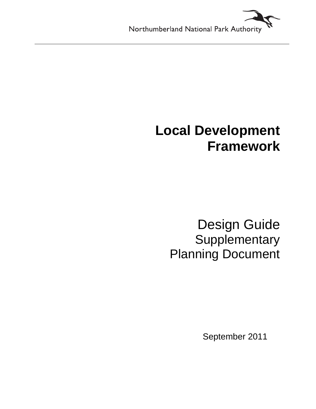# **Local Development Framework**

Design Guide **Supplementary** Planning Document

September 2011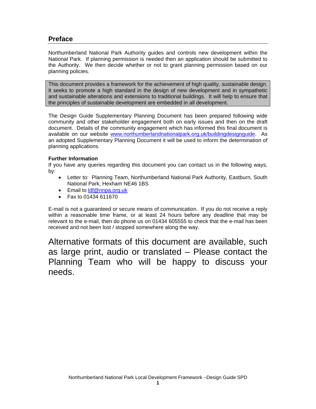# **Preface**

Northumberland National Park Authority guides and controls new development within the National Park. If planning permission is needed then an application should be submitted to the Authority. We then decide whether or not to grant planning permission based on our planning policies.

This document provides a framework for the achievement of high quality, sustainable design. It seeks to promote a high standard in the design of new development and in sympathetic and sustainable alterations and extensions to traditional buildings. It will help to ensure that the principles of sustainable development are embedded in all development.

The Design Guide Supplementary Planning Document has been prepared following wide community and other stakeholder engagement both on early issues and then on the draft document. Details of the community engagement which has informed this final document is available on our website www.northumberlandnationalpark.org.uk/buildingdesignguide. As an adopted Supplementary Planning Document it will be used to inform the determination of planning applications.

# **Further Information**

If you have any queries regarding this document you can contact us in the following ways, by:

- Letter to: Planning Team, Northumberland National Park Authority, Eastburn, South National Park, Hexham NE46 1BS
- Email to Idf@nnpa.org.uk
- Fax to 01434 611670

E-mail is not a guaranteed or secure means of communication. If you do not receive a reply within a reasonable time frame, or at least 24 hours before any deadline that may be relevant to the e-mail, then do phone us on 01434 605555 to check that the e-mail has been received and not been lost / stopped somewhere along the way.

Alternative formats of this document are available, such as large print, audio or translated – Please contact the Planning Team who will be happy to discuss your needs.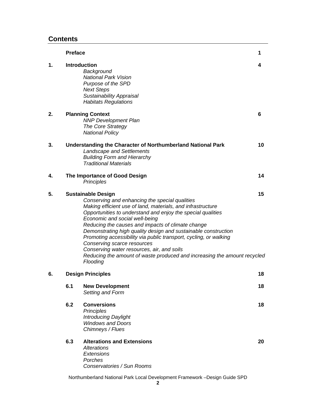# **Contents**

|    | <b>Preface</b>           |                                                                                                                                                                                                                                                                                                                                                                                                                                                                                                                                                                                                              | 1  |
|----|--------------------------|--------------------------------------------------------------------------------------------------------------------------------------------------------------------------------------------------------------------------------------------------------------------------------------------------------------------------------------------------------------------------------------------------------------------------------------------------------------------------------------------------------------------------------------------------------------------------------------------------------------|----|
| 1. |                          | <b>Introduction</b><br>Background<br><b>National Park Vision</b><br>Purpose of the SPD<br><b>Next Steps</b><br><b>Sustainability Appraisal</b><br><b>Habitats Regulations</b>                                                                                                                                                                                                                                                                                                                                                                                                                                | 4  |
| 2. |                          | <b>Planning Context</b><br><b>NNP Development Plan</b><br>The Core Strategy<br><b>National Policy</b>                                                                                                                                                                                                                                                                                                                                                                                                                                                                                                        | 6  |
| 3. |                          | Understanding the Character of Northumberland National Park<br><b>Landscape and Settlements</b><br><b>Building Form and Hierarchy</b><br><b>Traditional Materials</b>                                                                                                                                                                                                                                                                                                                                                                                                                                        | 10 |
| 4. |                          | The Importance of Good Design<br>Principles                                                                                                                                                                                                                                                                                                                                                                                                                                                                                                                                                                  | 14 |
| 5. |                          | <b>Sustainable Design</b><br>Conserving and enhancing the special qualities<br>Making efficient use of land, materials, and infrastructure<br>Opportunities to understand and enjoy the special qualities<br>Economic and social well-being<br>Reducing the causes and impacts of climate change<br>Demonstrating high quality design and sustainable construction<br>Promoting accessibility via public transport, cycling, or walking<br>Conserving scarce resources<br>Conserving water resources, air, and soils<br>Reducing the amount of waste produced and increasing the amount recycled<br>Flooding | 15 |
| 6. | <b>Design Principles</b> |                                                                                                                                                                                                                                                                                                                                                                                                                                                                                                                                                                                                              | 18 |
|    | 6.1                      | <b>New Development</b><br>Setting and Form                                                                                                                                                                                                                                                                                                                                                                                                                                                                                                                                                                   | 18 |
|    | 6.2                      | <b>Conversions</b><br>Principles<br><b>Introducing Daylight</b><br><b>Windows and Doors</b><br>Chimneys / Flues                                                                                                                                                                                                                                                                                                                                                                                                                                                                                              | 18 |
|    | 6.3                      | <b>Alterations and Extensions</b><br><b>Alterations</b><br>Extensions<br>Porches<br>Conservatories / Sun Rooms                                                                                                                                                                                                                                                                                                                                                                                                                                                                                               | 20 |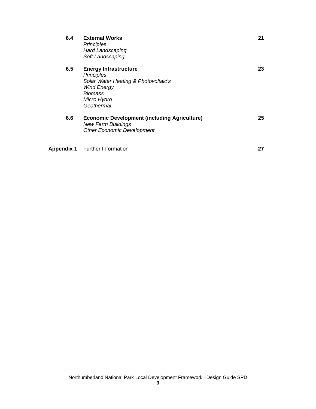| 6.4 | <b>External Works</b><br><b>Principles</b><br><b>Hard Landscaping</b><br>Soft Landscaping                                                               | 21 |
|-----|---------------------------------------------------------------------------------------------------------------------------------------------------------|----|
| 6.5 | <b>Energy Infrastructure</b><br><b>Principles</b><br>Solar Water Heating & Photovoltaic's<br><b>Wind Energy</b><br>Biomass<br>Micro Hydro<br>Geothermal | 23 |
| 6.6 | <b>Economic Development (including Agriculture)</b><br><b>New Farm Buildings</b><br><b>Other Economic Development</b>                                   | 25 |
|     | <b>Appendix 1</b> Further Information                                                                                                                   | 27 |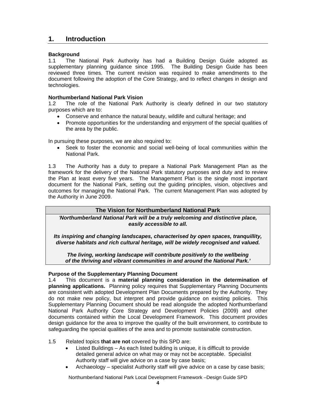# **1. Introduction**

## **Background**

1.1 The National Park Authority has had a Building Design Guide adopted as supplementary planning guidance since 1995. The Building Design Guide has been reviewed three times. The current revision was required to make amendments to the document following the adoption of the Core Strategy, and to reflect changes in design and technologies.

#### **Northumberland National Park Vision**

1.2 The role of the National Park Authority is clearly defined in our two statutory purposes which are to:

- Conserve and enhance the natural beauty, wildlife and cultural heritage; and
- Promote opportunities for the understanding and enjoyment of the special qualities of the area by the public.

In pursuing these purposes, we are also required to:

• Seek to foster the economic and social well-being of local communities within the National Park.

1.3 The Authority has a duty to prepare a National Park Management Plan as the framework for the delivery of the National Park statutory purposes and duty and to review the Plan at least every five years. The Management Plan is the single most important document for the National Park, setting out the guiding principles, vision, objectives and outcomes for managing the National Park. The current Management Plan was adopted by the Authority in June 2009.

# **The Vision for Northumberland National Park**

*'Northumberland National Park will be a truly welcoming and distinctive place, easily accessible to all.* 

*Its inspiring and changing landscapes, characterised by open spaces, tranquillity, diverse habitats and rich cultural heritage, will be widely recognised and valued.* 

*The living, working landscape will contribute positively to the wellbeing of the thriving and vibrant communities in and around the National Park.'* 

#### **Purpose of the Supplementary Planning Document**

1.4 This document is a **material planning consideration in the determination of planning applications.** Planning policy requires that Supplementary Planning Documents are consistent with adopted Development Plan Documents prepared by the Authority. They do not make new policy, but interpret and provide guidance on existing policies. This Supplementary Planning Document should be read alongside the adopted Northumberland National Park Authority Core Strategy and Development Policies (2009) and other documents contained within the Local Development Framework. This document provides design guidance for the area to improve the quality of the built environment, to contribute to safeguarding the special qualities of the area and to promote sustainable construction.

- 1.5 Related topics **that are not** covered by this SPD are:
	- Listed Buildings As each listed building is unique, it is difficult to provide detailed general advice on what may or may not be acceptable. Specialist Authority staff will give advice on a case by case basis;
	- Archaeology specialist Authority staff will give advice on a case by case basis;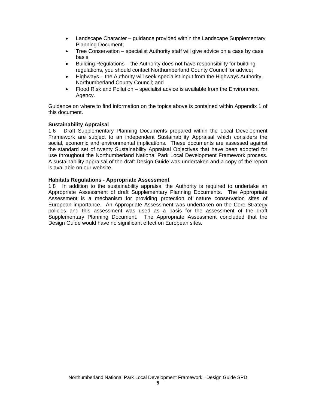- Landscape Character guidance provided within the Landscape Supplementary Planning Document;
- Tree Conservation specialist Authority staff will give advice on a case by case basis;
- Building Regulations the Authority does not have responsibility for building regulations, you should contact Northumberland County Council for advice;
- Highways the Authority will seek specialist input from the Highways Authority, Northumberland County Council; and
- Flood Risk and Pollution specialist advice is available from the Environment Agency.

Guidance on where to find information on the topics above is contained within Appendix 1 of this document.

### **Sustainability Appraisal**

1.6 Draft Supplementary Planning Documents prepared within the Local Development Framework are subject to an independent Sustainability Appraisal which considers the social, economic and environmental implications. These documents are assessed against the standard set of twenty Sustainability Appraisal Objectives that have been adopted for use throughout the Northumberland National Park Local Development Framework process. A sustainability appraisal of the draft Design Guide was undertaken and a copy of the report is available on our website.

#### **Habitats Regulations - Appropriate Assessment**

1.8 In addition to the sustainability appraisal the Authority is required to undertake an Appropriate Assessment of draft Supplementary Planning Documents. The Appropriate Assessment is a mechanism for providing protection of nature conservation sites of European importance. An Appropriate Assessment was undertaken on the Core Strategy policies and this assessment was used as a basis for the assessment of the draft Supplementary Planning Document. The Appropriate Assessment concluded that the Design Guide would have no significant effect on European sites.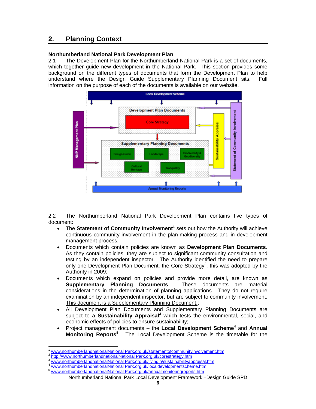# **2. Planning Context**

# **Northumberland National Park Development Plan**

2.1 The Development Plan for the Northumberland National Park is a set of documents, which together guide new development in the National Park. This section provides some background on the different types of documents that form the Development Plan to help understand where the Design Guide Supplementary Planning Document sits. Full information on the purpose of each of the documents is available on our website.



2.2 The Northumberland National Park Development Plan contains five types of document:

- The Statement of Community Involvement<sup>1</sup> sets out how the Authority will achieve continuous community involvement in the plan-making process and in development management process.
- Documents which contain policies are known as **Development Plan Documents**. As they contain policies, they are subject to significant community consultation and testing by an independent inspector. The Authority identified the need to prepare only one Development Plan Document, the Core Strategy<sup>2</sup>, this was adopted by the Authority in 2009;
- Documents which expand on policies and provide more detail, are known as **Supplementary Planning Documents**. These documents are material considerations in the determination of planning applications. They do not require examination by an independent inspector, but are subject to community involvement. This document is a Supplementary Planning Document.;
- All Development Plan Documents and Supplementary Planning Documents are subject to a **Sustainability Appraisal**<sup>3</sup> which tests the environmental, social, and economic effects of policies to ensure sustainability;
- Project management documents the **Local Development Scheme<sup>4</sup>** and **Annual Monitoring Reports<sup>5</sup>** . The Local Development Scheme is the timetable for the

<sup>1</sup> 1 www.northumberlandnationalNational Park.org.uk/statementofcommunityinvolvement.htm<br><sup>2</sup> http://www.northumberlandnationalNational Park.org.uk/corestrategy.htm<br><sup>3</sup> www.northumberlandnationalNational Park.org.uk/livingin/s

<sup>4</sup> www.northumberlandnationalNational Park.org.uk/localdevelopmentscheme.htm<br>5 www.northumberlandnationalNational Park.org.uk/annualmonitoringreports.htm

Northumberland National Park Local Development Framework –Design Guide SPD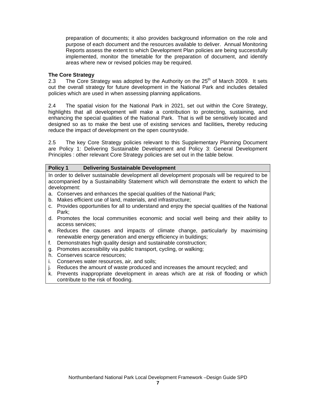preparation of documents; it also provides background information on the role and purpose of each document and the resources available to deliver. Annual Monitoring Reports assess the extent to which Development Plan policies are being successfully implemented, monitor the timetable for the preparation of document, and identify areas where new or revised policies may be required.

## **The Core Strategy**

2.3 The Core Strategy was adopted by the Authority on the  $25<sup>th</sup>$  of March 2009. It sets out the overall strategy for future development in the National Park and includes detailed policies which are used in when assessing planning applications.

2.4 The spatial vision for the National Park in 2021, set out within the Core Strategy, highlights that all development will make a contribution to protecting, sustaining, and enhancing the special qualities of the National Park. That is will be sensitively located and designed so as to make the best use of existing services and facilities**,** thereby reducing reduce the impact of development on the open countryside.

2.5 The key Core Strategy policies relevant to this Supplementary Planning Document are Policy 1: Delivering Sustainable Development and Policy 3: General Development Principles : other relevant Core Strategy policies are set out in the table below.

### **Policy 1 Delivering Sustainable Development**

In order to deliver sustainable development all development proposals will be required to be accompanied by a Sustainability Statement which will demonstrate the extent to which the development:

- a. Conserves and enhances the special qualities of the National Park;
- b. Makes efficient use of land, materials, and infrastructure;
- c. Provides opportunities for all to understand and enjoy the special qualities of the National Park;
- d. Promotes the local communities economic and social well being and their ability to access services;
- e. Reduces the causes and impacts of climate change, particularly by maximising renewable energy generation and energy efficiency in buildings;
- f. Demonstrates high quality design and sustainable construction;
- g. Promotes accessibility via public transport, cycling, or walking;
- h. Conserves scarce resources;
- i. Conserves water resources, air, and soils;
- j. Reduces the amount of waste produced and increases the amount recycled; and
- k. Prevents inappropriate development in areas which are at risk of flooding or which contribute to the risk of flooding.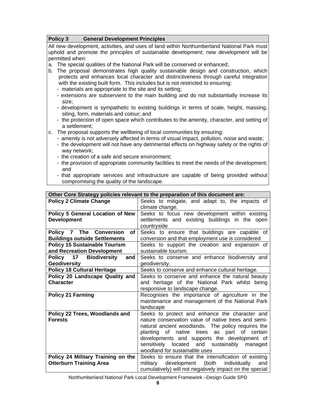## **Policy 3 General Development Principles**

All new development, activities, and uses of land within Northumberland National Park must uphold and promote the principles of sustainable development; new development will be permitted when:

- a. The special qualities of the National Park will be conserved or enhanced;
- b. The proposal demonstrates high quality sustainable design and construction, which protects and enhances local character and distinctiveness through careful integration with the existing built form. This includes but is not restricted to ensuring:
	- materials are appropriate to the site and its setting;
	- extensions are subservient to the main building and do not substantially increase its size;
	- development is sympathetic to existing buildings in terms of scale, height, massing, siting, form, materials and colour; and
	- the protection of open space which contributes to the amenity, character, and setting of a settlement;
- c. The proposal supports the wellbeing of local communities by ensuring:
	- amenity is not adversely affected in terms of visual impact, pollution, noise and waste;
	- the development will not have any detrimental effects on highway safety or the rights of way network;
	- the creation of a safe and secure environment;
	- the provision of appropriate community facilities to meet the needs of the development; and
	- that appropriate services and infrastructure are capable of being provided without compromising the quality of the landscape.

| Other Core Strategy policies relevant to the preparation of this document are: |                                                                                                                                                                                                |  |  |
|--------------------------------------------------------------------------------|------------------------------------------------------------------------------------------------------------------------------------------------------------------------------------------------|--|--|
| <b>Policy 2 Climate Change</b>                                                 | Seeks to mitigate, and adapt to, the impacts of                                                                                                                                                |  |  |
|                                                                                | climate change.                                                                                                                                                                                |  |  |
| <b>Policy 5 General Location of New</b>                                        | Seeks to focus new development within existing                                                                                                                                                 |  |  |
| <b>Development</b>                                                             | settlements and existing buildings in the open                                                                                                                                                 |  |  |
|                                                                                | countryside                                                                                                                                                                                    |  |  |
| Policy 7 The Conversion<br>of                                                  | Seeks to ensure that buildings are capable of                                                                                                                                                  |  |  |
| <b>Buildings outside Settlements</b>                                           | conversion and that employment use is considered                                                                                                                                               |  |  |
| <b>Policy 15 Sustainable Tourism</b>                                           | Seeks to support the creation and expansion of                                                                                                                                                 |  |  |
| and Recreation Development                                                     | sustainable tourism.                                                                                                                                                                           |  |  |
| 17<br><b>Biodiversity</b><br>Policy<br>and                                     | Seeks to conserve and enhance biodiversity and                                                                                                                                                 |  |  |
| <b>Geodiversity</b>                                                            | geodiversity.                                                                                                                                                                                  |  |  |
|                                                                                | Seeks to conserve and enhance cultural heritage.                                                                                                                                               |  |  |
| Policy 20 Landscape Quality and                                                | Seeks to conserve and enhance the natural beauty                                                                                                                                               |  |  |
| <b>Character</b>                                                               | and heritage of the National Park whilst being                                                                                                                                                 |  |  |
|                                                                                | responsive to landscape change.                                                                                                                                                                |  |  |
| <b>Policy 21 Farming</b>                                                       | Recognises the importance of agriculture in the                                                                                                                                                |  |  |
|                                                                                | maintenance and management of the National Park                                                                                                                                                |  |  |
|                                                                                | landscape                                                                                                                                                                                      |  |  |
| Policy 22 Trees, Woodlands and                                                 | Seeks to protect and enhance the character and                                                                                                                                                 |  |  |
| <b>Forests</b>                                                                 | nature conservation value of native trees and semi-                                                                                                                                            |  |  |
|                                                                                | natural ancient woodlands. The policy requires the                                                                                                                                             |  |  |
|                                                                                | planting of native trees<br>as part of certain                                                                                                                                                 |  |  |
|                                                                                |                                                                                                                                                                                                |  |  |
|                                                                                | located and sustainably managed                                                                                                                                                                |  |  |
|                                                                                | woodland for sustainable uses                                                                                                                                                                  |  |  |
|                                                                                |                                                                                                                                                                                                |  |  |
| <b>Otterburn Training Area</b>                                                 | development (both<br>military<br>and                                                                                                                                                           |  |  |
|                                                                                |                                                                                                                                                                                                |  |  |
| <b>Policy 18 Cultural Heritage</b><br>Policy 24 Military Training on the       | developments and supports the development of<br>sensitively<br>Seeks to ensure that the intensification of existing<br>individually<br>cumulatively) will not negatively impact on the special |  |  |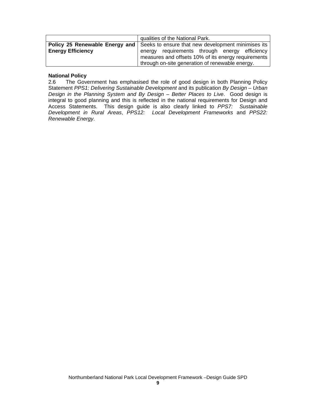|                          | qualities of the National Park.                                                          |  |  |
|--------------------------|------------------------------------------------------------------------------------------|--|--|
|                          | <b>Policy 25 Renewable Energy and Seeks to ensure that new development minimises its</b> |  |  |
| <b>Energy Efficiency</b> | energy requirements through energy efficiency                                            |  |  |
|                          | measures and offsets 10% of its energy requirements                                      |  |  |
|                          | through on-site generation of renewable energy.                                          |  |  |

# **National Policy**

2.6 The Government has emphasised the role of good design in both Planning Policy Statement *PPS1: Delivering Sustainable Development* and its publication *By Design – Urban Design in the Planning System and By Design – Better Places to Live*. Good design is integral to good planning and this is reflected in the national requirements for Design and Access Statements. This design guide is also clearly linked to *PPS7: Sustainable Development in Rural Areas*, *PPS12: Local Development Frameworks* and *PPS22: Renewable Energy*.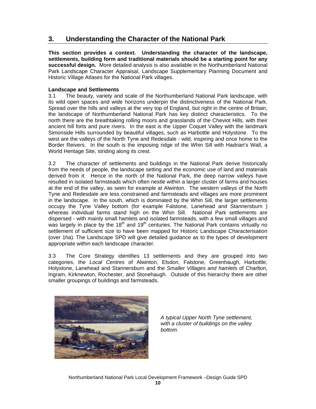# **3. Understanding the Character of the National Park**

**This section provides a context. Understanding the character of the landscape, settlements, building form and traditional materials should be a starting point for any successful design.** More detailed analysis is also available in the Northumberland National Park Landscape Character Appraisal, Landscape Supplementary Planning Document and Historic Village Atlases for the National Park villages.

# **Landscape and Settlements**

3.1 The beauty, variety and scale of the Northumberland National Park landscape, with its wild open spaces and wide horizons underpin the distinctiveness of the National Park. Spread over the hills and valleys at the very top of England, but right in the centre of Britain, the landscape of Northumberland National Park has key distinct characteristics. To the north there are the breathtaking rolling moors and grasslands of the Cheviot Hills, with their ancient hill forts and pure rivers. In the east is the Upper Coquet Valley with the landmark Simonside Hills surrounded by beautiful villages, such as Harbottle and Holystone. To the west are the valleys of the North Tyne and Redesdale - wild, inspiring and once home to the Border Reivers. In the south is the imposing ridge of the Whin Sill with Hadrian's Wall, a World Heritage Site, striding along its crest.

3.2 The character of settlements and buildings in the National Park derive historically from the needs of people, the landscape setting and the economic use of land and materials derived from it. Hence in the north of the National Park, the deep narrow valleys have resulted in isolated farmsteads which often nestle within a larger cluster of farms and houses at the end of the valley, as seen for example at Alwinton. The western valleys of the North Tyne and Redesdale are less constrained and farmsteads and villages are more prominent in the landscape. In the south, which is dominated by the Whin Sill, the larger settlements occupy the Tyne Valley bottom (for example Falstone, Lanehead and Stannersburn ) whereas individual farms stand high on the Whin Sill. National Park settlements are dispersed - with mainly small hamlets and isolated farmsteads, with a few small villages and was largely in place by the 18<sup>th</sup> and 19<sup>th</sup> centuries. The National Park contains virtually no settlement of sufficient size to have been mapped for Historic Landscape Characterisation (over 1ha). The Landscape SPD will give detailed guidance as to the types of development appropriate within each landscape character.

3.3 The Core Strategy identifies 13 settlements and they are grouped into two categories, the *Local Centres* of Alwinton, Elsdon, Falstone, Greenhaugh, Harbottle, Holystone, Lanehead and Stannersburn and the *Smaller Villages and hamlets* of Charlton, Ingram, Kirknewton, Rochester, and Stonehaugh. Outside of this hierarchy there are other smaller groupings of buildings and farmsteads.



*A typical Upper North Tyne settlement, with a cluster of buildings on the valley bottom.*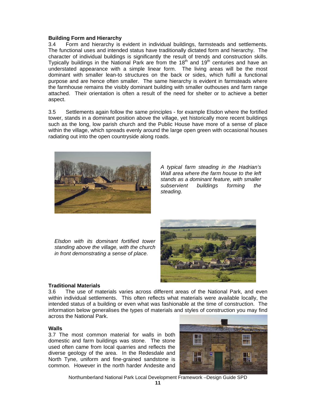## **Building Form and Hierarchy**

3.4 Form and hierarchy is evident in individual buildings, farmsteads and settlements. The functional uses and intended status have traditionally dictated form and hierarchy. The character of individual buildings is significantly the result of trends and construction skills. Typically buildings in the National Park are from the  $18<sup>th</sup>$  and  $19<sup>th</sup>$  centuries and have an understated appearance with a simple linear form. The living areas will be the most dominant with smaller lean-to structures on the back or sides, which fulfil a functional purpose and are hence often smaller. The same hierarchy is evident in farmsteads where the farmhouse remains the visibly dominant building with smaller outhouses and farm range attached. Their orientation is often a result of the need for shelter or to achieve a better aspect.

3.5 Settlements again follow the same principles - for example Elsdon where the fortified tower, stands in a dominant position above the village, yet historically more recent buildings such as the long, low parish church and the Public House have more of a sense of place within the village, which spreads evenly around the large open green with occasional houses radiating out into the open countryside along roads.



*A typical farm steading in the Hadrian's Wall area where the farm house to the left stands as a dominant feature, with smaller subservient buildings forming the steading.* 

*Elsdon with its dominant fortified tower standing above the village, with the church in front demonstrating a sense of place.* 



# **Traditional Materials**

3.6 The use of materials varies across different areas of the National Park, and even within individual settlements. This often reflects what materials were available locally, the intended status of a building or even what was fashionable at the time of construction. The information below generalises the types of materials and styles of construction you may find across the National Park.

#### **Walls**

3.7 The most common material for walls in both domestic and farm buildings was stone. The stone used often came from local quarries and reflects the diverse geology of the area. In the Redesdale and North Tyne, uniform and fine-grained sandstone is common. However in the north harder Andesite and

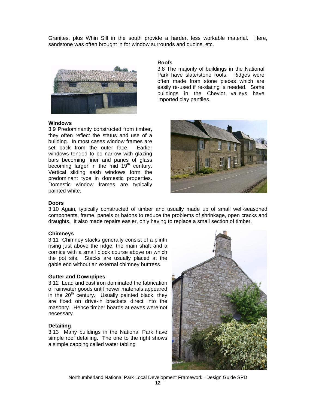Granites, plus Whin Sill in the south provide a harder, less workable material. Here, sandstone was often brought in for window surrounds and quoins, etc.



#### **Windows**

3.9 Predominantly constructed from timber, they often reflect the status and use of a building. In most cases window frames are set back from the outer face. Earlier windows tended to be narrow with glazing bars becoming finer and panes of glass becoming larger in the mid 19<sup>th</sup> century. Vertical sliding sash windows form the predominant type in domestic properties. Domestic window frames are typically painted white.

#### **Roofs**

3.8 The majority of buildings in the National Park have slate/stone roofs. Ridges were often made from stone pieces which are easily re-used if re-slating is needed. Some buildings in the Cheviot valleys have imported clay pantiles.



### **Doors**

3.10 Again, typically constructed of timber and usually made up of small well-seasoned components, frame, panels or batons to reduce the problems of shrinkage, open cracks and draughts. It also made repairs easier, only having to replace a small section of timber.

#### **Chimneys**

3.11 Chimney stacks generally consist of a plinth rising just above the ridge, the main shaft and a cornice with a small block course above on which the pot sits. Stacks are usually placed at the gable end without an external chimney buttress.

#### **Gutter and Downpipes**

3.12 Lead and cast iron dominated the fabrication of rainwater goods until newer materials appeared in the  $20<sup>th</sup>$  century. Usually painted black, they are fixed on drive-in brackets direct into the masonry. Hence timber boards at eaves were not necessary.

#### **Detailing**

3.13 Many buildings in the National Park have simple roof detailing. The one to the right shows a simple capping called water tabling

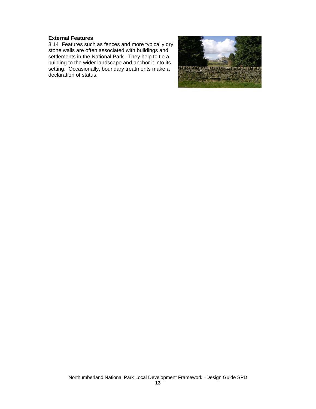# **External Features**

3.14 Features such as fences and more typically dry stone walls are often associated with buildings and settlements in the National Park. They help to tie a building to the wider landscape and anchor it into its setting. Occasionally, boundary treatments make a declaration of status.

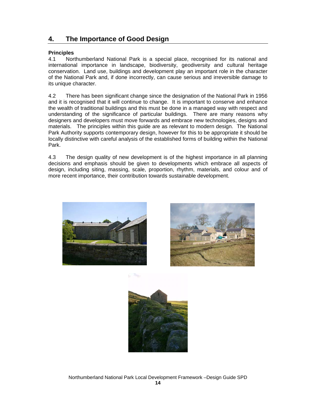# **4. The Importance of Good Design**

# **Principles**

4.1 Northumberland National Park is a special place, recognised for its national and international importance in landscape, biodiversity, geodiversity and cultural heritage conservation. Land use, buildings and development play an important role in the character of the National Park and, if done incorrectly, can cause serious and irreversible damage to its unique character.

4.2 There has been significant change since the designation of the National Park in 1956 and it is recognised that it will continue to change. It is important to conserve and enhance the wealth of traditional buildings and this must be done in a managed way with respect and understanding of the significance of particular buildings. There are many reasons why designers and developers must move forwards and embrace new technologies, designs and materials. The principles within this guide are as relevant to modern design. The National Park Authority supports contemporary design, however for this to be appropriate it should be locally distinctive with careful analysis of the established forms of building within the National Park.

4.3 The design quality of new development is of the highest importance in all planning decisions and emphasis should be given to developments which embrace all aspects of design, including siting, massing, scale, proportion, rhythm, materials, and colour and of more recent importance, their contribution towards sustainable development.





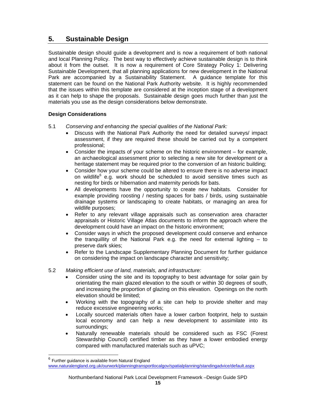# **5. Sustainable Design**

Sustainable design should guide a development and is now a requirement of both national and local Planning Policy. The best way to effectively achieve sustainable design is to think about it from the outset. It is now a requirement of Core Strategy Policy 1: Delivering Sustainable Development, that all planning applications for new development in the National Park are accompanied by a Sustainability Statement. A guidance template for this statement can be found on the National Park Authority website. It is highly recommended that the issues within this template are considered at the inception stage of a development as it can help to shape the proposals. Sustainable design goes much further than just the materials you use as the design considerations below demonstrate.

# **Design Considerations**

- 5.1 *Conserving and enhancing the special qualities of the National Park:* 
	- Discuss with the National Park Authority the need for detailed surveys/ impact assessment, if they are required these should be carried out by a competent professional;
	- Consider the impacts of your scheme on the historic environment for example, an archaeological assessment prior to selecting a new site for development or a heritage statement may be required prior to the conversion of an historic building;
	- Consider how your scheme could be altered to ensure there is no adverse impact on wildlife $^6$  e.g. work should be scheduled to avoid sensitive times such as nesting for birds or hibernation and maternity periods for bats.
	- All developments have the opportunity to create new habitats. Consider for example providing roosting / nesting spaces for bats / birds, using sustainable drainage systems or landscaping to create habitats, or managing an area for wildlife purposes;
	- Refer to any relevant village appraisals such as conservation area character appraisals or Historic Village Atlas documents to inform the approach where the development could have an impact on the historic environment;
	- Consider ways in which the proposed development could conserve and enhance the tranquillity of the National Park e.g. the need for external lighting – to preserve dark skies;
	- Refer to the Landscape Supplementary Planning Document for further guidance on considering the impact on landscape character and sensitivity;

# 5.2 *Making efficient use of land, materials, and infrastructure:*

- Consider using the site and its topography to best advantage for solar gain by orientating the main glazed elevation to the south or within 30 degrees of south, and increasing the proportion of glazing on this elevation. Openings on the north elevation should be limited;
- Working with the topography of a site can help to provide shelter and may reduce excessive engineering works;
- Locally sourced materials often have a lower carbon footprint, help to sustain local economy and can help a new development to assimilate into its surroundings;
- Naturally renewable materials should be considered such as FSC (Forest Stewardship Council) certified timber as they have a lower embodied energy compared with manufactured materials such as uPVC;

-

 $6$  Further guidance is available from Natural England

www.naturalengland.org.uk/ourwork/planningtransportlocalgov/spatialplanning/standingadvice/default.aspx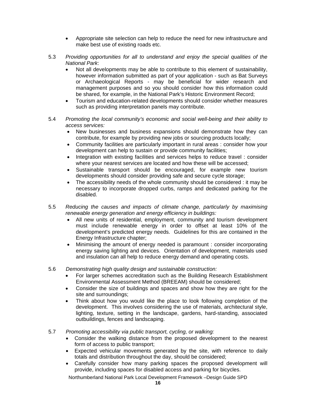- Appropriate site selection can help to reduce the need for new infrastructure and make best use of existing roads etc.
- 5.3 *Providing opportunities for all to understand and enjoy the special qualities of the National Park*:
	- Not all developments may be able to contribute to this element of sustainability, however information submitted as part of your application - such as Bat Surveys or Archaeological Reports - may be beneficial for wider research and management purposes and so you should consider how this information could be shared, for example, in the National Park's Historic Environment Record;
	- Tourism and education-related developments should consider whether measures such as providing interpretation panels may contribute.
- 5.4 *Promoting the local community's economic and social well-being and their ability to access services:* 
	- New businesses and business expansions should demonstrate how they can contribute, for example by providing new jobs or sourcing products locally;
	- Community facilities are particularly important in rural areas : consider how your development can help to sustain or provide community facilities;
	- Integration with existing facilities and services helps to reduce travel : consider where your nearest services are located and how these will be accessed;
	- Sustainable transport should be encouraged, for example new tourism developments should consider providing safe and secure cycle storage;
	- The accessibility needs of the whole community should be considered : it may be necessary to incorporate dropped curbs, ramps and dedicated parking for the disabled.
- 5.5 *Reducing the causes and impacts of climate change, particularly by maximising renewable energy generation and energy efficiency in buildings:*
	- All new units of residential, employment, community and tourism development must include renewable energy in order to offset at least 10% of the development's predicted energy needs. Guidelines for this are contained in the Energy Infrastructure chapter;
	- Minimising the amount of energy needed is paramount : consider incorporating energy saving lighting and devices. Orientation of development, materials used and insulation can all help to reduce energy demand and operating costs.
- 5.6 *Demonstrating high quality design and sustainable construction:* 
	- For larger schemes accreditation such as the Building Research Establishment Environmental Assessment Method (BREEAM) should be considered;
	- Consider the size of buildings and spaces and show how they are right for the site and surroundings;
	- Think about how you would like the place to look following completion of the development. This involves considering the use of materials, architectural style, lighting, texture, setting in the landscape, gardens, hard-standing, associated outbuildings, fences and landscaping.
- 5.7 *Promoting accessibility via public transport, cycling, or walking:* 
	- Consider the walking distance from the proposed development to the nearest form of access to public transport;
	- Expected vehicular movements generated by the site, with reference to daily totals and distribution throughout the day, should be considered;
	- Carefully consider how many parking spaces the proposed development will provide, including spaces for disabled access and parking for bicycles.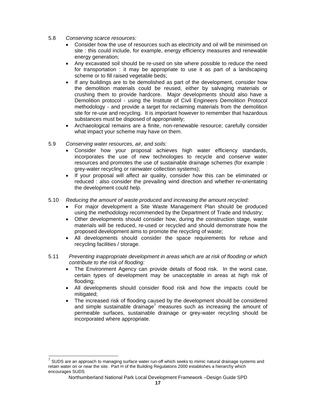- 5.8 *Conserving scarce resources:* 
	- Consider how the use of resources such as electricity and oil will be minimised on site : this could include, for example, energy efficiency measures and renewable energy generation;
	- Any excavated soil should be re-used on site where possible to reduce the need for transportation : it may be appropriate to use it as part of a landscaping scheme or to fill raised vegetable beds;
	- If any buildings are to be demolished as part of the development, consider how the demolition materials could be reused, either by salvaging materials or crushing them to provide hardcore. Major developments should also have a Demolition protocol - using the Institute of Civil Engineers Demolition Protocol methodology - and provide a target for reclaiming materials from the demolition site for re-use and recycling. It is important however to remember that hazardous substances must be disposed of appropriately;
	- Archaeological remains are a finite, non-renewable resource; carefully consider what impact your scheme may have on them.
- 5.9 *Conserving water resources, air, and soils:*

1

- Consider how your proposal achieves high water efficiency standards, incorporates the use of new technologies to recycle and conserve water resources and promotes the use of sustainable drainage schemes (for example : grey-water recycling or rainwater collection systems);
- If your proposal will affect air quality, consider how this can be eliminated or reduced : also consider the prevailing wind direction and whether re-orientating the development could help.
- 5.10 *Reducing the amount of waste produced and increasing the amount recycled:* 
	- For major development a Site Waste Management Plan should be produced using the methodology recommended by the Department of Trade and Industry;
	- Other developments should consider how, during the construction stage, waste materials will be reduced, re-used or recycled and should demonstrate how the proposed development aims to promote the recycling of waste;
	- All developments should consider the space requirements for refuse and recycling facilities / storage.
- 5.11 *Preventing inappropriate development in areas which are at risk of flooding or which contribute to the risk of flooding:* 
	- The Environment Agency can provide details of flood risk. In the worst case, certain types of development may be unacceptable in areas at high risk of flooding;
	- All developments should consider flood risk and how the impacts could be mitigated;
	- The increased risk of flooding caused by the development should be considered and simple sustainable drainage<sup>7</sup> measures such as increasing the amount of permeable surfaces, sustainable drainage or grey-water recycling should be incorporated where appropriate.

 $^7$  SUDS are an approach to managing surface water run-off which seeks to mimic natural drainage systems and retain water on or near the site. Part H of the Building Regulations 2000 establishes a hierarchy which encourages SUDS

Northumberland National Park Local Development Framework –Design Guide SPD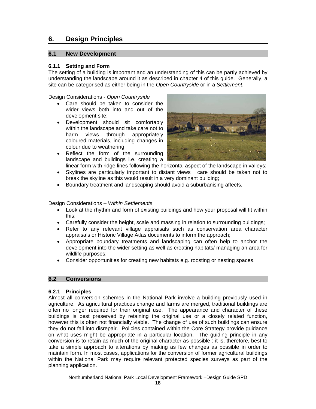# **6. Design Principles**

# **6.1 New Development**

## **6.1.1 Setting and Form**

The setting of a building is important and an understanding of this can be partly achieved by understanding the landscape around it as described in chapter 4 of this guide. Generally, a site can be categorised as either being in the *Open Countryside* or in a *Settlement*.

Design Considerations - *Open Countryside* 

- Care should be taken to consider the wider views both into and out of the development site;
- Development should sit comfortably within the landscape and take care not to harm views through appropriately coloured materials, including changes in colour due to weathering;



- Reflect the form of the surrounding landscape and buildings i.e. creating a linear form with ridge lines following the horizontal aspect of the landscape in valleys;
- Skylines are particularly important to distant views : care should be taken not to break the skyline as this would result in a very dominant building;
- Boundary treatment and landscaping should avoid a suburbanising affects.

Design Considerations – *Within Settlements* 

- Look at the rhythm and form of existing buildings and how your proposal will fit within this;
- Carefully consider the height, scale and massing in relation to surrounding buildings;
- Refer to any relevant village appraisals such as conservation area character appraisals or Historic Village Atlas documents to inform the approach;
- Appropriate boundary treatments and landscaping can often help to anchor the development into the wider setting as well as creating habitats/ managing an area for wildlife purposes;
- Consider opportunities for creating new habitats e.g. roosting or nesting spaces.

# **6.2 Conversions**

#### **6.2.1 Principles**

Almost all conversion schemes in the National Park involve a building previously used in agriculture. As agricultural practices change and farms are merged, traditional buildings are often no longer required for their original use. The appearance and character of these buildings is best preserved by retaining the original use or a closely related function, however this is often not financially viable. The change of use of such buildings can ensure they do not fall into disrepair. Policies contained within the Core Strategy provide guidance on what uses might be appropriate in a particular location. The guiding principle in any conversion is to retain as much of the original character as possible : it is, therefore, best to take a simple approach to alterations by making as few changes as possible in order to maintain form. In most cases, applications for the conversion of former agricultural buildings within the National Park may require relevant protected species surveys as part of the planning application.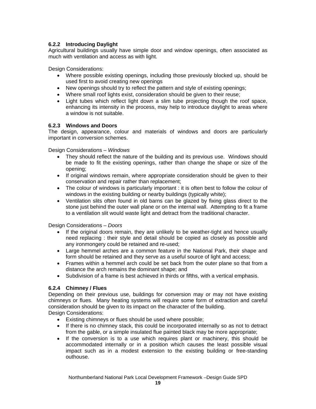# **6.2.2 Introducing Daylight**

Agricultural buildings usually have simple door and window openings, often associated as much with ventilation and access as with light.

Design Considerations:

- Where possible existing openings, including those previously blocked up, should be used first to avoid creating new openings
- New openings should try to reflect the pattern and style of existing openings;
- Where small roof lights exist, consideration should be given to their reuse;
- Light tubes which reflect light down a slim tube projecting though the roof space, enhancing its intensity in the process, may help to introduce daylight to areas where a window is not suitable.

# **6.2.3 Windows and Doors**

The design, appearance, colour and materials of windows and doors are particularly important in conversion schemes.

Design Considerations – *Windows* 

- They should reflect the nature of the building and its previous use. Windows should be made to fit the existing openings, rather than change the shape or size of the opening;
- If original windows remain, where appropriate consideration should be given to their conservation and repair rather than replacement;
- The colour of windows is particularly important : it is often best to follow the colour of windows in the existing building or nearby buildings (typically white);
- Ventilation slits often found in old barns can be glazed by fixing glass direct to the stone just behind the outer wall plane or on the internal wall. Attempting to fit a frame to a ventilation slit would waste light and detract from the traditional character.

Design Considerations – *Doors* 

- If the original doors remain, they are unlikely to be weather-tight and hence usually need replacing : their style and detail should be copied as closely as possible and any ironmongery could be retained and re-used;
- Large hemmel arches are a common feature in the National Park, their shape and form should be retained and they serve as a useful source of light and access;
- Frames within a hemmel arch could be set back from the outer plane so that from a distance the arch remains the dominant shape; and
- Subdivision of a frame is best achieved in thirds or fifths, with a vertical emphasis.

# **6.2.4 Chimney / Flues**

Depending on their previous use, buildings for conversion may or may not have existing chimneys or flues. Many heating systems will require some form of extraction and careful consideration should be given to its impact on the character of the building.

Design Considerations:

- Existing chimneys or flues should be used where possible;
- If there is no chimney stack, this could be incorporated internally so as not to detract from the gable, or a simple insulated flue painted black may be more appropriate;
- If the conversion is to a use which requires plant or machinery, this should be accommodated internally or in a position which causes the least possible visual impact such as in a modest extension to the existing building or free-standing outhouse.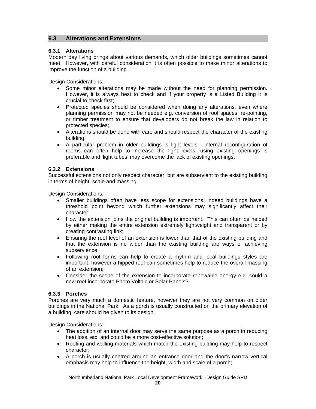# **6.3 Alterations and Extensions**

#### **6.3.1 Alterations**

Modern day living brings about various demands, which older buildings sometimes cannot meet. However, with careful consideration it is often possible to make minor alterations to improve the function of a building.

Design Considerations:

- Some minor alterations may be made without the need for planning permission. However, it is always best to check and if your property is a Listed Building it is crucial to check first;
- Protected species should be considered when doing any alterations, even where planning permission may not be needed e.g. conversion of roof spaces, re-pointing, or timber treatment to ensure that developers do not break the law in relation to protected species;
- Alterations should be done with care and should respect the character of the existing building;
- A particular problem in older buildings is light levels : internal reconfiguration of rooms can often help to increase the light levels, using existing openings is preferable and 'light tubes' may overcome the lack of existing openings.

### **6.3.2 Extensions**

Successful extensions not only respect character, but are subservient to the existing building in terms of height, scale and massing.

Design Considerations:

- Smaller buildings often have less scope for extensions, indeed buildings have a threshold point beyond which further extensions may significantly affect their character;
- How the extension joins the original building is important. This can often be helped by either making the entire extension extremely lightweight and transparent or by creating contrasting link;
- Ensuring the roof level of an extension is lower than that of the existing building and that the extension is no wider than the existing building are ways of achieving subservience;
- Following roof forms can help to create a rhythm and local buildings styles are important, however a hipped roof can sometimes help to reduce the overall massing of an extension;
- Consider the scope of the extension to incorporate renewable energy e.g. could a new roof incorporate Photo Voltaic or Solar Panels?

# **6.3.3 Porches**

Porches are very much a domestic feature, however they are not very common on older buildings in the National Park. As a porch is usually constructed on the primary elevation of a building, care should be given to its design.

Design Considerations:

- The addition of an internal door may serve the same purpose as a porch in reducing heat loss, etc. and could be a more cost-effective solution;
- Roofing and walling materials which match the existing building may help to respect character;
- A porch is usually centred around an entrance door and the door's narrow vertical emphasis may help to influence the height, width and scale of a porch;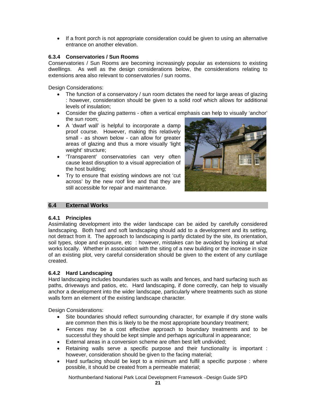• If a front porch is not appropriate consideration could be given to using an alternative entrance on another elevation.

# **6.3.4 Conservatories / Sun Rooms**

Conservatories / Sun Rooms are becoming increasingly popular as extensions to existing dwellings. As well as the design considerations below, the considerations relating to extensions area also relevant to conservatories / sun rooms.

Design Considerations:

- The function of a conservatory / sun room dictates the need for large areas of glazing : however, consideration should be given to a solid roof which allows for additional levels of insulation;
- Consider the glazing patterns often a vertical emphasis can help to visually 'anchor' the sun room;
- A 'dwarf wall' is helpful to incorporate a damp proof course. However, making this relatively small - as shown below - can allow for greater areas of glazing and thus a more visually 'light weight' structure;
- 'Transparent' conservatories can very often cause least disruption to a visual appreciation of the host building;
- Try to ensure that existing windows are not 'cut across' by the new roof line and that they are still accessible for repair and maintenance.



# **6.4 External Works**

# **6.4.1 Principles**

Assimilating development into the wider landscape can be aided by carefully considered landscaping. Both hard and soft landscaping should add to a development and its setting, not detract from it. The approach to landscaping is partly dictated by the site, its orientation, soil types, slope and exposure, etc : however, mistakes can be avoided by looking at what works locally. Whether in association with the siting of a new building or the increase in size of an existing plot, very careful consideration should be given to the extent of any curtilage created.

# **6.4.2 Hard Landscaping**

Hard landscaping includes boundaries such as walls and fences, and hard surfacing such as paths, driveways and patios, etc. Hard landscaping, if done correctly, can help to visually anchor a development into the wider landscape, particularly where treatments such as stone walls form an element of the existing landscape character.

Design Considerations:

- Site boundaries should reflect surrounding character, for example if dry stone walls are common then this is likely to be the most appropriate boundary treatment;
- Fences may be a cost effective approach to boundary treatments and to be successful they should be kept simple and perhaps agricultural in appearance;
- External areas in a conversion scheme are often best left undivided;
- Retaining walls serve a specific purpose and their functionality is important : however, consideration should be given to the facing material;
- Hard surfacing should be kept to a minimum and fulfil a specific purpose : where possible, it should be created from a permeable material;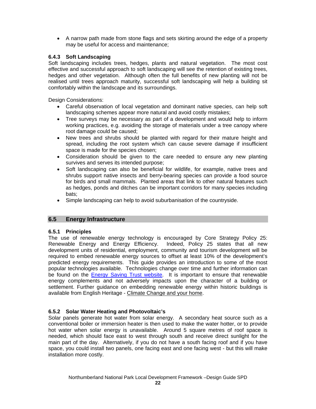• A narrow path made from stone flags and sets skirting around the edge of a property may be useful for access and maintenance;

# **6.4.3 Soft Landscaping**

Soft landscaping includes trees, hedges, plants and natural vegetation. The most cost effective and successful approach to soft landscaping will see the retention of existing trees, hedges and other vegetation. Although often the full benefits of new planting will not be realised until trees approach maturity, successful soft landscaping will help a building sit comfortably within the landscape and its surroundings.

Design Considerations:

- Careful observation of local vegetation and dominant native species, can help soft landscaping schemes appear more natural and avoid costly mistakes;
- Tree surveys may be necessary as part of a development and would help to inform working practices, e.g. avoiding the storage of materials under a tree canopy where root damage could be caused;
- New trees and shrubs should be planted with regard for their mature height and spread, including the root system which can cause severe damage if insufficient space is made for the species chosen;
- Consideration should be given to the care needed to ensure any new planting survives and serves its intended purpose;
- Soft landscaping can also be beneficial for wildlife, for example, native trees and shrubs support native insects and berry-bearing species can provide a food source for birds and small mammals. Planted areas that link to other natural features such as hedges, ponds and ditches can be important corridors for many species including bats;
- Simple landscaping can help to avoid suburbanisation of the countryside.

# **6.5 Energy Infrastructure**

# **6.5.1 Principles**

The use of renewable energy technology is encouraged by Core Strategy Policy 25: Renewable Energy and Energy Efficiency. Indeed, Policy 25 states that all new development units of residential, employment, community and tourism development will be required to embed renewable energy sources to offset at least 10% of the development's predicted energy requirements. This guide provides an introduction to some of the most popular technologies available. Technologies change over time and further information can be found on the Energy Saving Trust website. It is important to ensure that renewable energy complements and not adversely impacts upon the character of a building or settlement. Further guidance on embedding renewable energy within historic buildings is available from English Heritage - Climate Change and your home.

# **6.5.2 Solar Water Heating and Photovoltaic's**

Solar panels generate hot water from solar energy. A secondary heat source such as a conventional boiler or immersion heater is then used to make the water hotter, or to provide hot water when solar energy is unavailable. Around 5 square metres of roof space is needed, which should face east to west through south and receive direct sunlight for the main part of the day. Alternatively, if you do not have a south facing roof and if you have space, you could install two panels, one facing east and one facing west - but this will make installation more costly.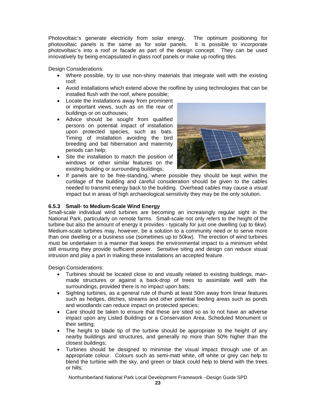Photovoltaic's generate electricity from solar energy. The optimum positioning for photovoltaic panels is the same as for solar panels. It is possible to incorporate photovoltaic's into a roof or facade as part of the design concept. They can be used innovatively by being encapsulated in glass roof panels or make up roofing tiles.

Design Considerations:

- Where possible, try to use non-shiny materials that integrate well with the existing roof;
- Avoid installations which extend above the roofline by using technologies that can be installed flush with the roof, where possible;
- Locate the installations away from prominent or important views, such as on the rear of buildings or on outhouses;
- Advice should be sought from qualified persons on potential impact of installation upon protected species, such as bats. Timing of installation avoiding the bird breeding and bat hibernation and maternity periods can help;
- Site the installation to match the position of windows or other similar features on the existing building or surrounding buildings;



If panels are to be free-standing, where possible they should be kept within the curtilage of the building and careful consideration should be given to the cables needed to transmit energy back to the building. Overhead cables may cause a visual impact but in areas of high archaeological sensitivity they may be the only solution.

# **6.5.3 Small- to Medium-Scale Wind Energy**

Small-scale individual wind turbines are becoming an increasingly regular sight in the National Park, particularly on remote farms. Small-scale not only refers to the height of the turbine but also the amount of energy it provides - typically for just one dwelling (up to 6kw). Medium-scale turbines may, however, be a solution to a community need or to serve more than one dwelling or a business use (sometimes up to 50kw). The erection of wind turbines must be undertaken in a manner that keeps the environmental impact to a minimum whilst still ensuring they provide sufficient power. Sensitive siting and design can reduce visual intrusion and play a part in making these installations an accepted feature.

Design Considerations:

- Turbines should be located close to and visually related to existing buildings, manmade structures or against a back-drop of trees to assimilate well with the surroundings, provided there is no impact upon bats;
- Sighting turbines, as a general rule of thumb at least 50m away from linear features such as hedges, ditches, streams and other potential feeding areas such as ponds and woodlands can reduce impact on protected species;
- Care should be taken to ensure that these are sited so as to not have an adverse impact upon any Listed Buildings or a Conservation Area, Scheduled Monument or their setting;
- The height to blade tip of the turbine should be appropriate to the height of any nearby buildings and structures, and generally no more than 50% higher than the closest buildings;
- Turbines should be designed to minimise the visual impact through use of an appropriate colour. Colours such as semi-matt white, off white or grey can help to blend the turbine with the sky, and green or black could help to blend with the trees or hills;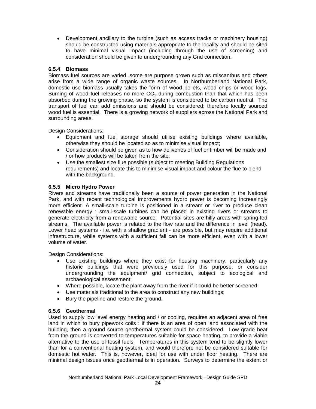• Development ancillary to the turbine (such as access tracks or machinery housing) should be constructed using materials appropriate to the locality and should be sited to have minimal visual impact (including through the use of screening) and consideration should be given to undergrounding any Grid connection.

# **6.5.4 Biomass**

Biomass fuel sources are varied, some are purpose grown such as miscanthus and others arise from a wide range of organic waste sources. In Northumberland National Park, domestic use biomass usually takes the form of wood pellets, wood chips or wood logs. Burning of wood fuel releases no more  $CO<sub>2</sub>$  during combustion than that which has been absorbed during the growing phase, so the system is considered to be carbon neutral. The transport of fuel can add emissions and should be considered; therefore locally sourced wood fuel is essential. There is a growing network of suppliers across the National Park and surrounding areas.

Design Considerations:

- Equipment and fuel storage should utilise existing buildings where available, otherwise they should be located so as to minimise visual impact;
- Consideration should be given as to how deliveries of fuel or timber will be made and / or how products will be taken from the site;
- Use the smallest size flue possible (subject to meeting Building Regulations requirements) and locate this to minimise visual impact and colour the flue to blend with the background.

# **6.5.5 Micro Hydro Power**

Rivers and streams have traditionally been a source of power generation in the National Park, and with recent technological improvements hydro power is becoming increasingly more efficient. A small-scale turbine is positioned in a stream or river to produce clean renewable energy : small-scale turbines can be placed in existing rivers or streams to generate electricity from a renewable source. Potential sites are hilly areas with spring-fed streams. The available power is related to the flow rate and the difference in level (head). Lower head systems - i.e. with a shallow gradient - are possible, but may require additional infrastructure, while systems with a sufficient fall can be more efficient, even with a lower volume of water.

Design Considerations:

- Use existing buildings where they exist for housing machinery, particularly any historic buildings that were previously used for this purpose, or consider undergrounding the equipment/ grid connection, subject to ecological and archaeological assessment;
- Where possible, locate the plant away from the river if it could be better screened;
- Use materials traditional to the area to construct any new buildings;
- Bury the pipeline and restore the ground.

# **6.5.6 Geothermal**

Used to supply low level energy heating and / or cooling, requires an adjacent area of free land in which to bury pipework coils : if there is an area of open land associated with the building, then a ground source geothermal system could be considered. Low grade heat from the ground is converted to temperatures suitable for space heating, to provide a viable alternative to the use of fossil fuels. Temperatures in this system tend to be slightly lower than for a conventional heating system, and would therefore not be considered suitable for domestic hot water. This is, however, ideal for use with under floor heating. There are minimal design issues once geothermal is in operation. Surveys to determine the extent or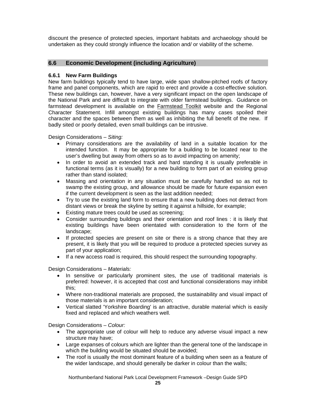discount the presence of protected species, important habitats and archaeology should be undertaken as they could strongly influence the location and/ or viability of the scheme.

# **6.6 Economic Development (including Agriculture)**

# **6.6.1 New Farm Buildings**

New farm buildings typically tend to have large, wide span shallow-pitched roofs of factory frame and panel components, which are rapid to erect and provide a cost-effective solution. These new buildings can, however, have a very significant impact on the open landscape of the National Park and are difficult to integrate with older farmstead buildings. Guidance on farmstead development is available on the Farmstead Toolkit website and the Regional Character Statement. Infill amongst existing buildings has many cases spoiled their character and the spaces between them as well as inhibiting the full benefit of the new. If badly sited or poorly detailed, even small buildings can be intrusive.

Design Considerations – *Siting:*

- Primary considerations are the availability of land in a suitable location for the intended function. It may be appropriate for a building to be located near to the user's dwelling but away from others so as to avoid impacting on amenity;
- In order to avoid an extended track and hard standing it is usually preferable in functional terms (as it is visually) for a new building to form part of an existing group rather than stand isolated;
- Massing and orientation in any situation must be carefully handled so as not to swamp the existing group, and allowance should be made for future expansion even if the current development is seen as the last addition needed;
- Try to use the existing land form to ensure that a new building does not detract from distant views or break the skyline by setting it against a hillside, for example;
- Existing mature trees could be used as screening;
- Consider surrounding buildings and their orientation and roof lines : it is likely that existing buildings have been orientated with consideration to the form of the landscape;
- If protected species are present on site or there is a strong chance that they are present, it is likely that you will be required to produce a protected species survey as part of your application;
- If a new access road is required, this should respect the surrounding topography.

Design Considerations – *Materials:*

- In sensitive or particularly prominent sites, the use of traditional materials is preferred: however, it is accepted that cost and functional considerations may inhibit this;
- Where non-traditional materials are proposed, the sustainability and visual impact of those materials is an important consideration;
- Vertical slatted 'Yorkshire Boarding' is an attractive, durable material which is easily fixed and replaced and which weathers well.

Design Considerations – *Colour:*

- The appropriate use of colour will help to reduce any adverse visual impact a new structure may have;
- Large expanses of colours which are lighter than the general tone of the landscape in which the building would be situated should be avoided;
- The roof is usually the most dominant feature of a building when seen as a feature of the wider landscape, and should generally be darker in colour than the walls;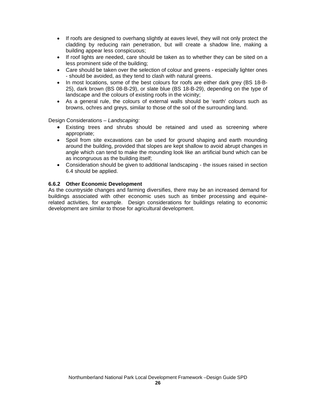- If roofs are designed to overhang slightly at eaves level, they will not only protect the cladding by reducing rain penetration, but will create a shadow line, making a building appear less conspicuous;
- If roof lights are needed, care should be taken as to whether they can be sited on a less prominent side of the building;
- Care should be taken over the selection of colour and greens especially lighter ones - should be avoided, as they tend to clash with natural greens.
- In most locations, some of the best colours for roofs are either dark grey (BS 18-B-25), dark brown (BS 08-B-29), or slate blue (BS 18-B-29), depending on the type of landscape and the colours of existing roofs in the vicinity;
- As a general rule, the colours of external walls should be 'earth' colours such as browns, ochres and greys, similar to those of the soil of the surrounding land.

Design Considerations – *Landscaping:*

- Existing trees and shrubs should be retained and used as screening where appropriate;
- Spoil from site excavations can be used for ground shaping and earth mounding around the building, provided that slopes are kept shallow to avoid abrupt changes in angle which can tend to make the mounding look like an artificial bund which can be as incongruous as the building itself;
- Consideration should be given to additional landscaping the issues raised in section 6.4 should be applied.

# **6.6.2 Other Economic Development**

As the countryside changes and farming diversifies, there may be an increased demand for buildings associated with other economic uses such as timber processing and equinerelated activities, for example. Design considerations for buildings relating to economic development are similar to those for agricultural development.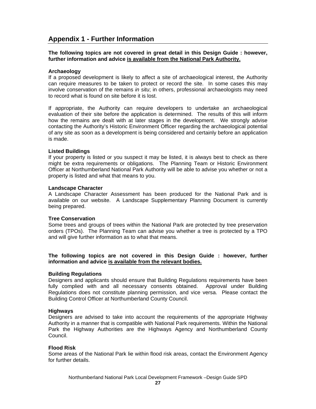# **Appendix 1 - Further Information**

**The following topics are not covered in great detail in this Design Guide : however, further information and advice is available from the National Park Authority.**

#### **Archaeology**

If a proposed development is likely to affect a site of archaeological interest, the Authority can require measures to be taken to protect or record the site. In some cases this may involve conservation of the remains *in situ*; in others, professional archaeologists may need to record what is found on site before it is lost.

If appropriate, the Authority can require developers to undertake an archaeological evaluation of their site before the application is determined. The results of this will inform how the remains are dealt with at later stages in the development. We strongly advise contacting the Authority's Historic Environment Officer regarding the archaeological potential of any site as soon as a development is being considered and certainly before an application is made.

### **Listed Buildings**

If your property is listed or you suspect it may be listed, it is always best to check as there might be extra requirements or obligations. The Planning Team or Historic Environment Officer at Northumberland National Park Authority will be able to advise you whether or not a property is listed and what that means to you.

#### **Landscape Character**

A Landscape Character Assessment has been produced for the National Park and is available on our website. A Landscape Supplementary Planning Document is currently being prepared.

#### **Tree Conservation**

Some trees and groups of trees within the National Park are protected by tree preservation orders (TPOs). The Planning Team can advise you whether a tree is protected by a TPO and will give further information as to what that means.

**The following topics are not covered in this Design Guide : however, further information and advice is available from the relevant bodies.**

#### **Building Regulations**

Designers and applicants should ensure that Building Regulations requirements have been fully complied with and all necessary consents obtained. Approval under Building Regulations does not constitute planning permission, and vice versa. Please contact the Building Control Officer at Northumberland County Council.

#### **Highways**

Designers are advised to take into account the requirements of the appropriate Highway Authority in a manner that is compatible with National Park requirements. Within the National Park the Highway Authorities are the Highways Agency and Northumberland County Council.

#### **Flood Risk**

Some areas of the National Park lie within flood risk areas, contact the Environment Agency for further details.